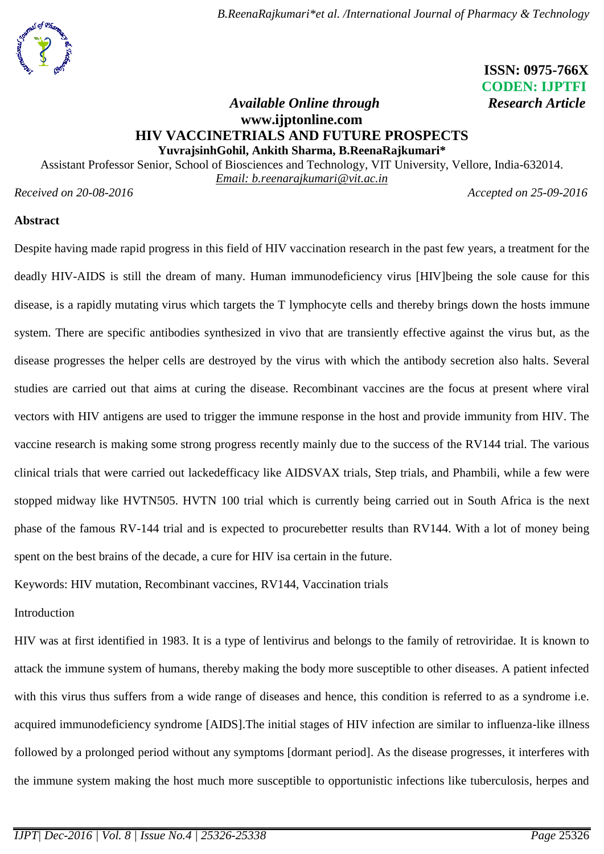# **ISSN: 0975-766X CODEN: IJPTFI**

## *Available Online through* Research Article **[www.ijptonline.com](http://www.ijptonline.com/) HIV VACCINETRIALS AND FUTURE PROSPECTS YuvrajsinhGohil, Ankith Sharma, B.ReenaRajkumari\***

Assistant Professor Senior, School of Biosciences and Technology, VIT University, Vellore, India-632014.

*Email: [b.reenarajkumari@vit.ac.in](mailto:b.reenarajkumari@vit.ac.in)*

*Received on 20-08-2016 Accepted on 25-09-2016*

## **Abstract**

Despite having made rapid progress in this field of HIV vaccination research in the past few years, a treatment for the deadly HIV-AIDS is still the dream of many. Human immunodeficiency virus [HIV]being the sole cause for this disease, is a rapidly mutating virus which targets the T lymphocyte cells and thereby brings down the hosts immune system. There are specific antibodies synthesized in vivo that are transiently effective against the virus but, as the disease progresses the helper cells are destroyed by the virus with which the antibody secretion also halts. Several studies are carried out that aims at curing the disease. Recombinant vaccines are the focus at present where viral vectors with HIV antigens are used to trigger the immune response in the host and provide immunity from HIV. The vaccine research is making some strong progress recently mainly due to the success of the RV144 trial. The various clinical trials that were carried out lackedefficacy like AIDSVAX trials, Step trials, and Phambili, while a few were stopped midway like HVTN505. HVTN 100 trial which is currently being carried out in South Africa is the next phase of the famous RV-144 trial and is expected to procurebetter results than RV144. With a lot of money being spent on the best brains of the decade, a cure for HIV isa certain in the future.

Keywords: HIV mutation, Recombinant vaccines, RV144, Vaccination trials

## Introduction

HIV was at first identified in 1983. It is a type of lentivirus and belongs to the family of retroviridae. It is known to attack the immune system of humans, thereby making the body more susceptible to other diseases. A patient infected with this virus thus suffers from a wide range of diseases and hence, this condition is referred to as a syndrome i.e. acquired immunodeficiency syndrome [AIDS].The initial stages of HIV infection are similar to influenza-like illness followed by a prolonged period without any symptoms [dormant period]. As the disease progresses, it interferes with the immune system making the host much more susceptible to opportunistic infections like tuberculosis, herpes and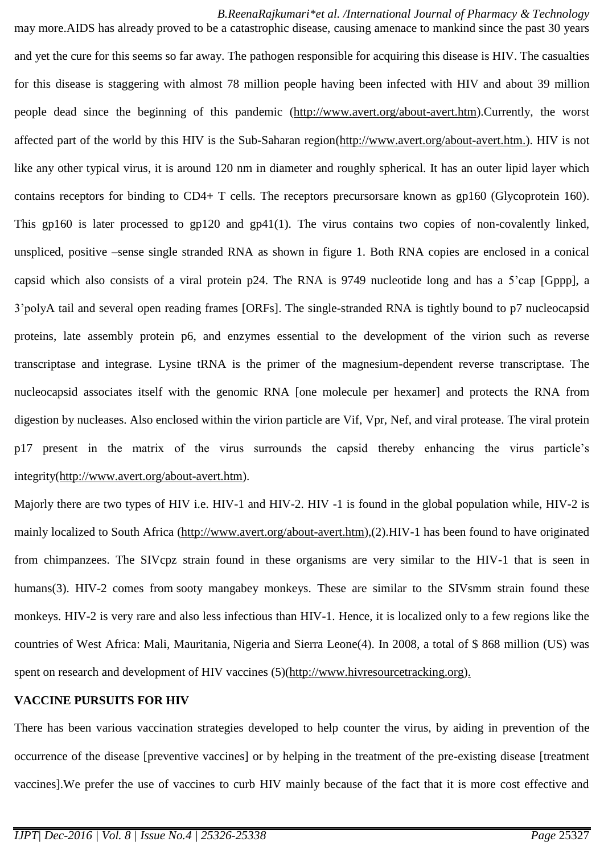*B.ReenaRajkumari\*et al. /International Journal of Pharmacy & Technology* may more.AIDS has already proved to be a catastrophic disease, causing amenace to mankind since the past 30 years and yet the cure for this seems so far away. The pathogen responsible for acquiring this disease is HIV. The casualties for this disease is staggering with almost 78 million people having been infected with HIV and about 39 million people dead since the beginning of this pandemic [\(http://www.avert.org/about-avert.htm\)](http://www.avert.org/about-avert.htm).Currently, the worst affected part of the world by this HIV is the Sub-Saharan region[\(http://www.avert.org/about-avert.htm.](http://www.avert.org/about-avert.htm)). HIV is not like any other typical virus, it is around 120 nm in diameter and roughly spherical. It has an outer lipid layer which contains receptors for binding to CD4+ T cells. The receptors precursorsare known as gp160 (Glycoprotein 160). This gp160 is later processed to gp120 and gp41(1). The virus contains two copies of non-covalently linked, unspliced, positive –sense single stranded RNA as shown in figure 1. Both RNA copies are enclosed in a conical capsid which also consists of a viral protein p24. The RNA is 9749 nucleotide long and has a 5'cap [Gppp], a 3'polyA tail and several open reading frames [ORFs]. The single-stranded RNA is tightly bound to p7 nucleocapsid proteins, late assembly protein p6, and enzymes essential to the development of the virion such as reverse transcriptase and integrase. Lysine tRNA is the primer of the magnesium-dependent reverse transcriptase. The nucleocapsid associates itself with the genomic RNA [one molecule per hexamer] and protects the RNA from digestion by nucleases. Also enclosed within the virion particle are Vif, Vpr, Nef, and viral protease. The viral protein p17 present in the matrix of the virus surrounds the capsid thereby enhancing the virus particle's integrity[\(http://www.avert.org/about-avert.htm\)](http://www.avert.org/about-avert.htm).

Majorly there are two types of HIV i.e. HIV-1 and HIV-2. HIV -1 is found in the global population while, HIV-2 is mainly localized to South Africa [\(http://www.avert.org/about-avert.htm\)](http://www.avert.org/about-avert.htm),(2).HIV-1 has been found to have originated from chimpanzees. The SIVcpz strain found in these organisms are very similar to the HIV-1 that is seen in humans(3). HIV-2 comes from sooty mangabey monkeys. These are similar to the SIVsmm strain found these monkeys. HIV-2 is very rare and also less infectious than HIV-1. Hence, it is localized only to a few regions like the countries of West Africa: Mali, Mauritania, Nigeria and Sierra Leone(4). In 2008, a total of \$ 868 million (US) was spent on research and development of HIV vaccines (5)[\(http://www.hivresourcetracking.org\)](http://www.hivresourcetracking.org/).

## **VACCINE PURSUITS FOR HIV**

There has been various vaccination strategies developed to help counter the virus, by aiding in prevention of the occurrence of the disease [preventive vaccines] or by helping in the treatment of the pre-existing disease [treatment vaccines].We prefer the use of vaccines to curb HIV mainly because of the fact that it is more cost effective and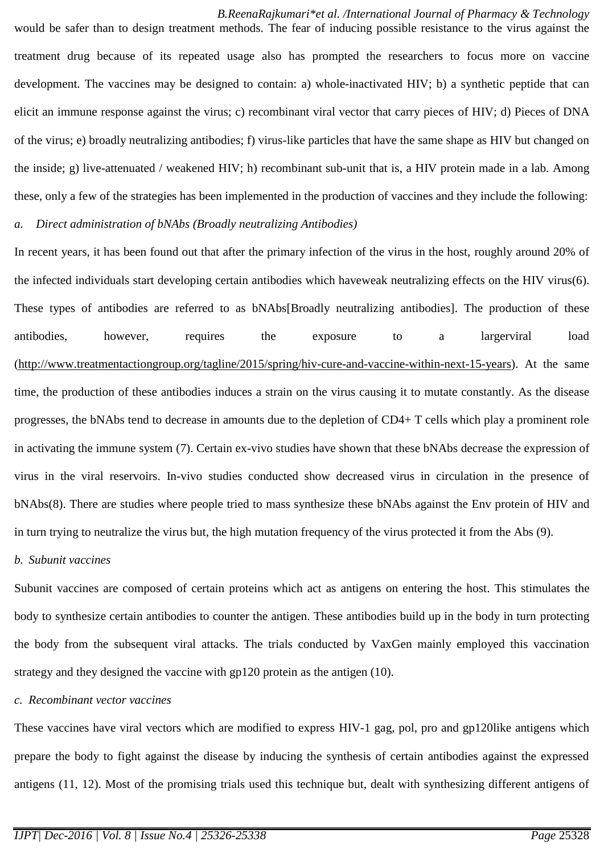*B.ReenaRajkumari\*et al. /International Journal of Pharmacy & Technology* would be safer than to design treatment methods. The fear of inducing possible resistance to the virus against the treatment drug because of its repeated usage also has prompted the researchers to focus more on vaccine development. The vaccines may be designed to contain: a) whole-inactivated HIV; b) a synthetic peptide that can elicit an immune response against the virus; c) recombinant viral vector that carry pieces of HIV; d) Pieces of DNA of the virus; e) broadly neutralizing antibodies; f) virus-like particles that have the same shape as HIV but changed on the inside; g) live-attenuated / weakened HIV; h) recombinant sub-unit that is, a HIV protein made in a lab. Among these, only a few of the strategies has been implemented in the production of vaccines and they include the following:

#### *a. Direct administration of bNAbs (Broadly neutralizing Antibodies)*

In recent years, it has been found out that after the primary infection of the virus in the host, roughly around 20% of the infected individuals start developing certain antibodies which haveweak neutralizing effects on the HIV virus(6). These types of antibodies are referred to as bNAbs[Broadly neutralizing antibodies]. The production of these antibodies, however, requires the exposure to a largerviral load [\(http://www.treatmentactiongroup.org/tagline/2015/spring/hiv-cure-and-vaccine-within-next-15-years\)](http://www.treatmentactiongroup.org/tagline/2015/spring/hiv-cure-and-vaccine-within-next-15-years). At the same time, the production of these antibodies induces a strain on the virus causing it to mutate constantly. As the disease progresses, the bNAbs tend to decrease in amounts due to the depletion of CD4+ T cells which play a prominent role in activating the immune system (7). Certain ex-vivo studies have shown that these bNAbs decrease the expression of virus in the viral reservoirs. In-vivo studies conducted show decreased virus in circulation in the presence of bNAbs(8). There are studies where people tried to mass synthesize these bNAbs against the Env protein of HIV and in turn trying to neutralize the virus but, the high mutation frequency of the virus protected it from the Abs (9).

#### *b. Subunit vaccines*

Subunit vaccines are composed of certain proteins which act as antigens on entering the host. This stimulates the body to synthesize certain antibodies to counter the antigen. These antibodies build up in the body in turn protecting the body from the subsequent viral attacks. The trials conducted by VaxGen mainly employed this vaccination strategy and they designed the vaccine with gp120 protein as the antigen (10).

#### *c. Recombinant vector vaccines*

These vaccines have viral vectors which are modified to express HIV-1 gag, pol, pro and gp120like antigens which prepare the body to fight against the disease by inducing the synthesis of certain antibodies against the expressed antigens (11, 12). Most of the promising trials used this technique but, dealt with synthesizing different antigens of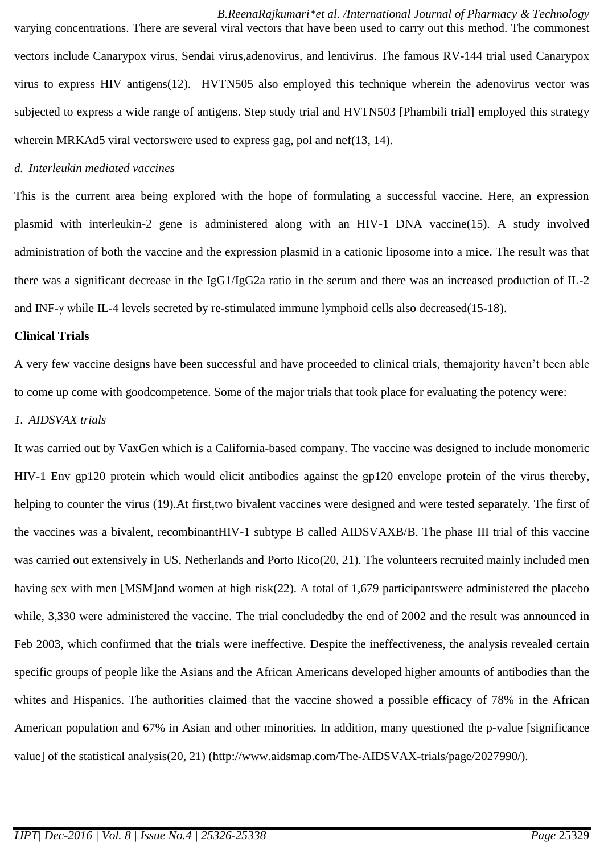*B.ReenaRajkumari\*et al. /International Journal of Pharmacy & Technology* varying concentrations. There are several viral vectors that have been used to carry out this method. The commonest vectors include Canarypox virus, Sendai virus,adenovirus, and lentivirus. The famous RV-144 trial used Canarypox virus to express HIV antigens(12). HVTN505 also employed this technique wherein the adenovirus vector was subjected to express a wide range of antigens. Step study trial and HVTN503 [Phambili trial] employed this strategy wherein MRKAd5 viral vectorswere used to express gag, pol and nef(13, 14).

#### *d. Interleukin mediated vaccines*

This is the current area being explored with the hope of formulating a successful vaccine. Here, an expression plasmid with interleukin-2 gene is administered along with an HIV-1 DNA vaccine(15). A study involved administration of both the vaccine and the expression plasmid in a cationic liposome into a mice. The result was that there was a significant decrease in the IgG1/IgG2a ratio in the serum and there was an increased production of IL-2 and INF-γ while IL-4 levels secreted by re-stimulated immune lymphoid cells also decreased(15-18).

#### **Clinical Trials**

A very few vaccine designs have been successful and have proceeded to clinical trials, themajority haven't been able to come up come with goodcompetence. Some of the major trials that took place for evaluating the potency were:

## *1. AIDSVAX trials*

It was carried out by VaxGen which is a California-based company. The vaccine was designed to include monomeric HIV-1 Env gp120 protein which would elicit antibodies against the gp120 envelope protein of the virus thereby, helping to counter the virus (19).At first,two bivalent vaccines were designed and were tested separately. The first of the vaccines was a bivalent, recombinantHIV-1 subtype B called AIDSVAXB/B. The phase III trial of this vaccine was carried out extensively in US, Netherlands and Porto Rico(20, 21). The volunteers recruited mainly included men having sex with men [MSM]and women at high risk(22). A total of 1,679 participantswere administered the placebo while, 3,330 were administered the vaccine. The trial concludedby the end of 2002 and the result was announced in Feb 2003, which confirmed that the trials were ineffective. Despite the ineffectiveness, the analysis revealed certain specific groups of people like the Asians and the African Americans developed higher amounts of antibodies than the whites and Hispanics. The authorities claimed that the vaccine showed a possible efficacy of 78% in the African American population and 67% in Asian and other minorities. In addition, many questioned the p-value [significance value] of the statistical analysis(20, 21) [\(http://www.aidsmap.com/The-AIDSVAX-trials/page/2027990/\)](http://www.aidsmap.com/The-AIDSVAX-trials/page/2027990/).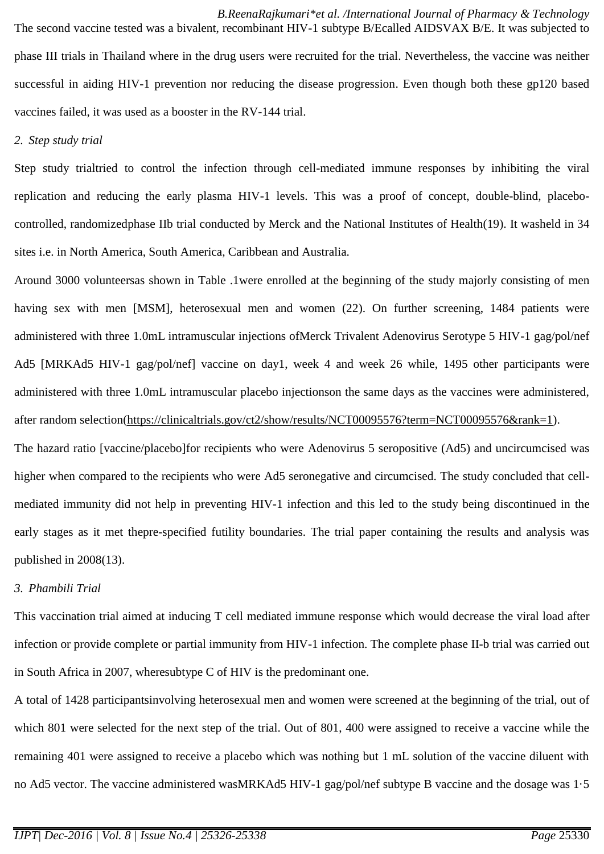*B.ReenaRajkumari\*et al. /International Journal of Pharmacy & Technology* The second vaccine tested was a bivalent, recombinant HIV-1 subtype B/Ecalled AIDSVAX B/E. It was subjected to phase III trials in Thailand where in the drug users were recruited for the trial. Nevertheless, the vaccine was neither successful in aiding HIV-1 prevention nor reducing the disease progression. Even though both these gp120 based vaccines failed, it was used as a booster in the RV-144 trial.

## *2. Step study trial*

Step study trialtried to control the infection through cell-mediated immune responses by inhibiting the viral replication and reducing the early plasma HIV-1 levels. This was a proof of concept, double-blind, placebocontrolled, randomizedphase IIb trial conducted by Merck and the National Institutes of Health(19). It washeld in 34 sites i.e. in North America, South America, Caribbean and Australia.

Around 3000 volunteersas shown in Table .1were enrolled at the beginning of the study majorly consisting of men having sex with men [MSM], heterosexual men and women (22). On further screening, 1484 patients were administered with three 1.0mL intramuscular injections ofMerck Trivalent Adenovirus Serotype 5 HIV-1 gag/pol/nef Ad5 [MRKAd5 HIV-1 gag/pol/nef] vaccine on day1, week 4 and week 26 while, 1495 other participants were administered with three 1.0mL intramuscular placebo injectionson the same days as the vaccines were administered, after random selection(https://clinicaltrials.gov/ct2/show/results/NCT00095576?term=NCT00095576&rank=1).

The hazard ratio [vaccine/placebo]for recipients who were Adenovirus 5 seropositive (Ad5) and uncircumcised was higher when compared to the recipients who were Ad5 seronegative and circumcised. The study concluded that cellmediated immunity did not help in preventing HIV-1 infection and this led to the study being discontinued in the early stages as it met thepre-specified futility boundaries. The trial paper containing the results and analysis was published in 2008(13).

## *3. Phambili Trial*

This vaccination trial aimed at inducing T cell mediated immune response which would decrease the viral load after infection or provide complete or partial immunity from HIV-1 infection. The complete phase II-b trial was carried out in South Africa in 2007, wheresubtype C of HIV is the predominant one.

A total of 1428 participantsinvolving heterosexual men and women were screened at the beginning of the trial, out of which 801 were selected for the next step of the trial. Out of 801, 400 were assigned to receive a vaccine while the remaining 401 were assigned to receive a placebo which was nothing but 1 mL solution of the vaccine diluent with no Ad5 vector. The vaccine administered wasMRKAd5 HIV-1 gag/pol/nef subtype B vaccine and the dosage was 1·5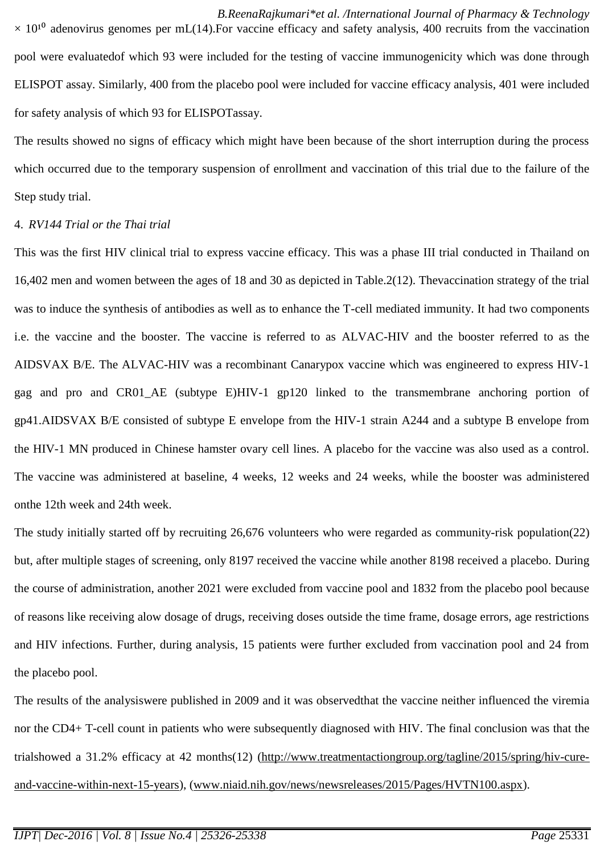*B.ReenaRajkumari\*et al. /International Journal of Pharmacy & Technology*  $\times$  10<sup>10</sup> adenovirus genomes per mL(14). For vaccine efficacy and safety analysis, 400 recruits from the vaccination pool were evaluatedof which 93 were included for the testing of vaccine immunogenicity which was done through ELISPOT assay. Similarly, 400 from the placebo pool were included for vaccine efficacy analysis, 401 were included for safety analysis of which 93 for ELISPOTassay.

The results showed no signs of efficacy which might have been because of the short interruption during the process which occurred due to the temporary suspension of enrollment and vaccination of this trial due to the failure of the Step study trial.

## 4. *RV144 Trial or the Thai trial*

This was the first HIV clinical trial to express vaccine efficacy. This was a phase III trial conducted in Thailand on 16,402 men and women between the ages of 18 and 30 as depicted in Table.2(12). Thevaccination strategy of the trial was to induce the synthesis of antibodies as well as to enhance the T-cell mediated immunity. It had two components i.e. the vaccine and the booster. The vaccine is referred to as ALVAC-HIV and the booster referred to as the AIDSVAX B/E. The ALVAC-HIV was a recombinant Canarypox vaccine which was engineered to express HIV-1 gag and pro and CR01\_AE (subtype E)HIV-1 gp120 linked to the transmembrane anchoring portion of gp41.AIDSVAX B/E consisted of subtype E envelope from the HIV-1 strain A244 and a subtype B envelope from the HIV-1 MN produced in Chinese hamster ovary cell lines. A placebo for the vaccine was also used as a control. The vaccine was administered at baseline, 4 weeks, 12 weeks and 24 weeks, while the booster was administered onthe 12th week and 24th week.

The study initially started off by recruiting 26,676 volunteers who were regarded as community-risk population(22) but, after multiple stages of screening, only 8197 received the vaccine while another 8198 received a placebo. During the course of administration, another 2021 were excluded from vaccine pool and 1832 from the placebo pool because of reasons like receiving alow dosage of drugs, receiving doses outside the time frame, dosage errors, age restrictions and HIV infections. Further, during analysis, 15 patients were further excluded from vaccination pool and 24 from the placebo pool.

The results of the analysiswere published in 2009 and it was observedthat the vaccine neither influenced the viremia nor the CD4+ T-cell count in patients who were subsequently diagnosed with HIV. The final conclusion was that the trialshowed a 31.2% efficacy at 42 months(12) [\(http://www.treatmentactiongroup.org/tagline/2015/spring/hiv-cure](http://www.treatmentactiongroup.org/tagline/2015/spring/hiv-cure-and-vaccine-within-next-15-years)[and-vaccine-within-next-15-years\)](http://www.treatmentactiongroup.org/tagline/2015/spring/hiv-cure-and-vaccine-within-next-15-years), [\(www.niaid.nih.gov/news/newsreleases/2015/Pages/HVTN100.aspx\)](http://www.niaid.nih.gov/news/newsreleases/2015/Pages/HVTN100.aspx).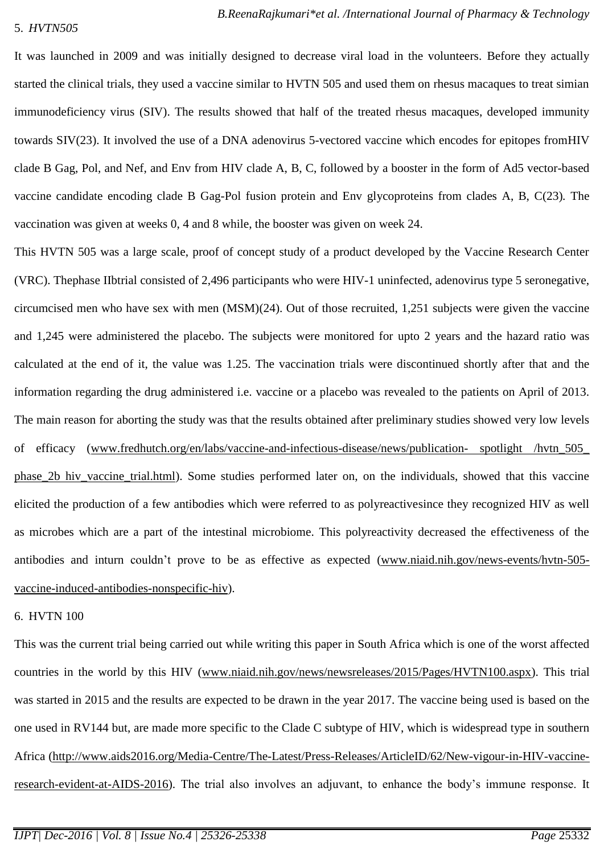#### 5. *HVTN505*

It was launched in 2009 and was initially designed to decrease viral load in the volunteers*.* Before they actually started the clinical trials, they used a vaccine similar to HVTN 505 and used them on rhesus macaques to treat simian immunodeficiency virus (SIV). The results showed that half of the treated rhesus macaques, developed immunity towards SIV(23). It involved the use of a DNA adenovirus 5-vectored vaccine which encodes for epitopes fromHIV clade B Gag, Pol, and Nef, and Env from HIV clade A, B, C, followed by a booster in the form of Ad5 vector-based vaccine candidate encoding clade B Gag-Pol fusion protein and Env glycoproteins from clades A, B, C(23)*.* The vaccination was given at weeks 0, 4 and 8 while, the booster was given on week 24.

This HVTN 505 was a large scale, proof of concept study of a product developed by the Vaccine Research Center (VRC). Thephase IIbtrial consisted of 2,496 participants who were HIV-1 uninfected, adenovirus type 5 seronegative, circumcised men who have sex with men (MSM)(24). Out of those recruited, 1,251 subjects were given the vaccine and 1,245 were administered the placebo. The subjects were monitored for upto 2 years and the hazard ratio was calculated at the end of it, the value was 1.25. The vaccination trials were discontinued shortly after that and the information regarding the drug administered i.e. vaccine or a placebo was revealed to the patients on April of 2013. The main reason for aborting the study was that the results obtained after preliminary studies showed very low levels of efficacy [\(www.fredhutch.org/en/labs/vaccine-and-infectious-disease/news/publication-](http://www.fredhutch.org/en/labs/vaccine-and-infectious-disease/news/publication-%20spotlight%20/hvtn_505_%20phase_2b%20hiv_vaccine_trial.html) spotlight /hvtn\_505\_ phase 2b hiv vaccine trial.html). Some studies performed later on, on the individuals, showed that this vaccine elicited the production of a few antibodies which were referred to as polyreactivesince they recognized HIV as well as microbes which are a part of the intestinal microbiome. This polyreactivity decreased the effectiveness of the antibodies and inturn couldn't prove to be as effective as expected [\(www.niaid.nih.gov/news-events/hvtn-505](http://www.niaid.nih.gov/news-events/hvtn-505-vaccine-induced-antibodies-nonspecific-hiv) [vaccine-induced-antibodies-nonspecific-hiv\)](http://www.niaid.nih.gov/news-events/hvtn-505-vaccine-induced-antibodies-nonspecific-hiv).

## 6. HVTN 100

This was the current trial being carried out while writing this paper in South Africa which is one of the worst affected countries in the world by this HIV [\(www.niaid.nih.gov/news/newsreleases/2015/Pages/HVTN100.aspx\)](http://www.niaid.nih.gov/news/newsreleases/2015/Pages/HVTN100.aspx). This trial was started in 2015 and the results are expected to be drawn in the year 2017. The vaccine being used is based on the one used in RV144 but, are made more specific to the Clade C subtype of HIV, which is widespread type in southern Africa [\(http://www.aids2016.org/Media-Centre/The-Latest/Press-Releases/ArticleID/62/New-vigour-in-HIV-vaccine](http://www.aids2016.org/Media-Centre/The-Latest/Press-Releases/ArticleID/62/New-vigour-in-HIV-vaccine-research-evident-at-AIDS-2016)[research-evident-at-AIDS-2016\)](http://www.aids2016.org/Media-Centre/The-Latest/Press-Releases/ArticleID/62/New-vigour-in-HIV-vaccine-research-evident-at-AIDS-2016). The trial also involves an adjuvant, to enhance the body's immune response. It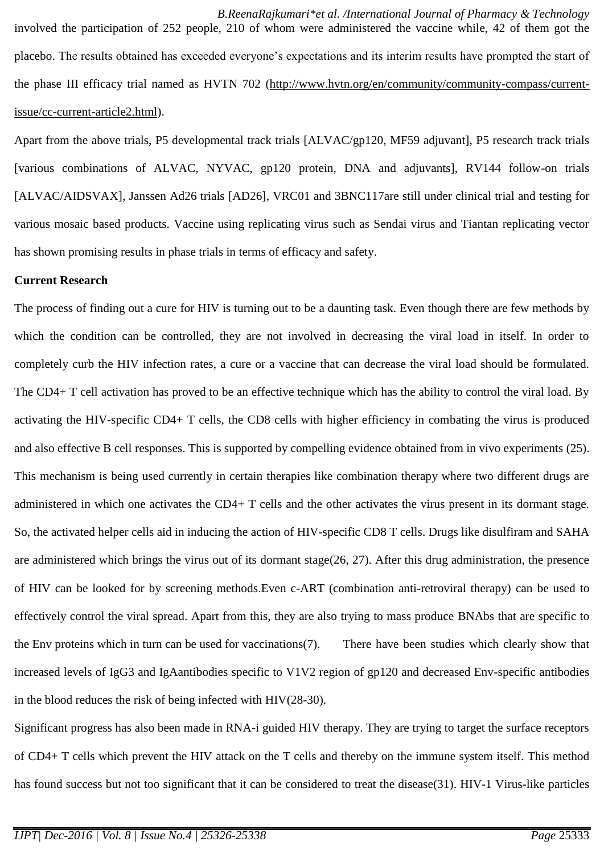*B.ReenaRajkumari\*et al. /International Journal of Pharmacy & Technology* involved the participation of 252 people, 210 of whom were administered the vaccine while, 42 of them got the placebo. The results obtained has exceeded everyone's expectations and its interim results have prompted the start of the phase III efficacy trial named as HVTN 702 [\(http://www.hvtn.org/en/community/community-compass/current](http://www.hvtn.org/en/community/community-compass/current-issue/cc-current-article2.html)[issue/cc-current-article2.html\)](http://www.hvtn.org/en/community/community-compass/current-issue/cc-current-article2.html).

Apart from the above trials, P5 developmental track trials [ALVAC/gp120, MF59 adjuvant], P5 research track trials [various combinations of ALVAC, NYVAC, gp120 protein, DNA and adjuvants], RV144 follow-on trials [ALVAC/AIDSVAX], Janssen Ad26 trials [AD26], VRC01 and 3BNC117are still under clinical trial and testing for various mosaic based products. Vaccine using replicating virus such as Sendai virus and Tiantan replicating vector has shown promising results in phase trials in terms of efficacy and safety.

## **Current Research**

The process of finding out a cure for HIV is turning out to be a daunting task. Even though there are few methods by which the condition can be controlled, they are not involved in decreasing the viral load in itself. In order to completely curb the HIV infection rates, a cure or a vaccine that can decrease the viral load should be formulated. The CD4+ T cell activation has proved to be an effective technique which has the ability to control the viral load. By activating the HIV-specific CD4+ T cells, the CD8 cells with higher efficiency in combating the virus is produced and also effective B cell responses. This is supported by compelling evidence obtained from in vivo experiments (25). This mechanism is being used currently in certain therapies like combination therapy where two different drugs are administered in which one activates the CD4+ T cells and the other activates the virus present in its dormant stage. So, the activated helper cells aid in inducing the action of HIV-specific CD8 T cells. Drugs like disulfiram and SAHA are administered which brings the virus out of its dormant stage(26, 27). After this drug administration, the presence of HIV can be looked for by screening methods.Even c-ART (combination anti-retroviral therapy) can be used to effectively control the viral spread. Apart from this, they are also trying to mass produce BNAbs that are specific to the Env proteins which in turn can be used for vaccinations(7). There have been studies which clearly show that increased levels of IgG3 and IgAantibodies specific to V1V2 region of gp120 and decreased Env-specific antibodies in the blood reduces the risk of being infected with HIV(28-30).

Significant progress has also been made in RNA-i guided HIV therapy. They are trying to target the surface receptors of CD4+ T cells which prevent the HIV attack on the T cells and thereby on the immune system itself. This method has found success but not too significant that it can be considered to treat the disease(31). HIV-1 Virus-like particles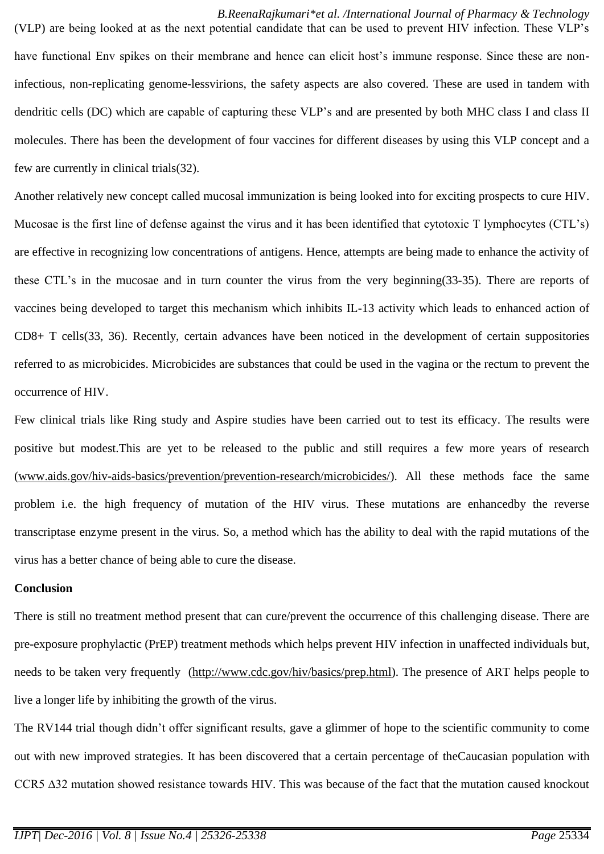*B.ReenaRajkumari\*et al. /International Journal of Pharmacy & Technology* (VLP) are being looked at as the next potential candidate that can be used to prevent HIV infection. These VLP's have functional Env spikes on their membrane and hence can elicit host's immune response. Since these are noninfectious, non-replicating genome-lessvirions, the safety aspects are also covered. These are used in tandem with dendritic cells (DC) which are capable of capturing these VLP's and are presented by both MHC class I and class II molecules. There has been the development of four vaccines for different diseases by using this VLP concept and a few are currently in clinical trials(32).

Another relatively new concept called mucosal immunization is being looked into for exciting prospects to cure HIV. Mucosae is the first line of defense against the virus and it has been identified that cytotoxic T lymphocytes (CTL's) are effective in recognizing low concentrations of antigens. Hence, attempts are being made to enhance the activity of these CTL's in the mucosae and in turn counter the virus from the very beginning(33-35). There are reports of vaccines being developed to target this mechanism which inhibits IL-13 activity which leads to enhanced action of CD8+ T cells(33, 36). Recently, certain advances have been noticed in the development of certain suppositories referred to as microbicides. Microbicides are substances that could be used in the vagina or the rectum to prevent the occurrence of HIV.

Few clinical trials like Ring study and Aspire studies have been carried out to test its efficacy. The results were positive but modest.This are yet to be released to the public and still requires a few more years of research [\(www.aids.gov/hiv-aids-basics/prevention/prevention-research/microbicides/\)](http://www.aids.gov/hiv-aids-basics/prevention/prevention-research/microbicides/). All these methods face the same problem i.e. the high frequency of mutation of the HIV virus. These mutations are enhancedby the reverse transcriptase enzyme present in the virus. So, a method which has the ability to deal with the rapid mutations of the virus has a better chance of being able to cure the disease.

## **Conclusion**

There is still no treatment method present that can cure/prevent the occurrence of this challenging disease. There are pre-exposure prophylactic (PrEP) treatment methods which helps prevent HIV infection in unaffected individuals but, needs to be taken very frequently [\(http://www.cdc.gov/hiv/basics/prep.html\)](http://www.cdc.gov/hiv/basics/prep.html). The presence of ART helps people to live a longer life by inhibiting the growth of the virus.

The RV144 trial though didn't offer significant results, gave a glimmer of hope to the scientific community to come out with new improved strategies. It has been discovered that a certain percentage of theCaucasian population with CCR5 ∆32 mutation showed resistance towards HIV. This was because of the fact that the mutation caused knockout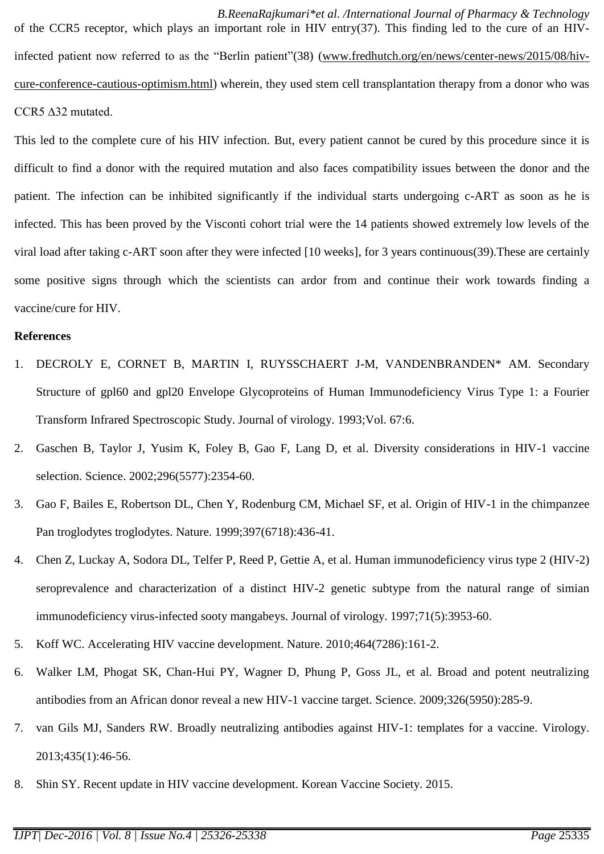*B.ReenaRajkumari\*et al. /International Journal of Pharmacy & Technology* of the CCR5 receptor, which plays an important role in HIV entry(37). This finding led to the cure of an HIVinfected patient now referred to as the "Berlin patient"(38) [\(www.fredhutch.org/en/news/center-news/2015/08/hiv](http://www.fredhutch.org/en/news/center-news/2015/08/hiv-cure-conference-cautious-optimism.html)[cure-conference-cautious-optimism.html\)](http://www.fredhutch.org/en/news/center-news/2015/08/hiv-cure-conference-cautious-optimism.html) wherein, they used stem cell transplantation therapy from a donor who was CCR5 ∆32 mutated.

This led to the complete cure of his HIV infection. But, every patient cannot be cured by this procedure since it is difficult to find a donor with the required mutation and also faces compatibility issues between the donor and the patient. The infection can be inhibited significantly if the individual starts undergoing c-ART as soon as he is infected. This has been proved by the Visconti cohort trial were the 14 patients showed extremely low levels of the viral load after taking c-ART soon after they were infected [10 weeks], for 3 years continuous(39).These are certainly some positive signs through which the scientists can ardor from and continue their work towards finding a vaccine/cure for HIV.

#### **References**

- 1. DECROLY E, CORNET B, MARTIN I, RUYSSCHAERT J-M, VANDENBRANDEN\* AM. Secondary Structure of gpl60 and gpl20 Envelope Glycoproteins of Human Immunodeficiency Virus Type 1: a Fourier Transform Infrared Spectroscopic Study. Journal of virology. 1993;Vol. 67:6.
- 2. Gaschen B, Taylor J, Yusim K, Foley B, Gao F, Lang D, et al. Diversity considerations in HIV-1 vaccine selection. Science. 2002;296(5577):2354-60.
- 3. Gao F, Bailes E, Robertson DL, Chen Y, Rodenburg CM, Michael SF, et al. Origin of HIV-1 in the chimpanzee Pan troglodytes troglodytes. Nature. 1999;397(6718):436-41.
- 4. Chen Z, Luckay A, Sodora DL, Telfer P, Reed P, Gettie A, et al. Human immunodeficiency virus type 2 (HIV-2) seroprevalence and characterization of a distinct HIV-2 genetic subtype from the natural range of simian immunodeficiency virus-infected sooty mangabeys. Journal of virology. 1997;71(5):3953-60.
- 5. Koff WC. Accelerating HIV vaccine development. Nature. 2010;464(7286):161-2.
- 6. Walker LM, Phogat SK, Chan-Hui PY, Wagner D, Phung P, Goss JL, et al. Broad and potent neutralizing antibodies from an African donor reveal a new HIV-1 vaccine target. Science. 2009;326(5950):285-9.
- 7. van Gils MJ, Sanders RW. Broadly neutralizing antibodies against HIV-1: templates for a vaccine. Virology. 2013;435(1):46-56.
- 8. Shin SY. Recent update in HIV vaccine development. Korean Vaccine Society. 2015.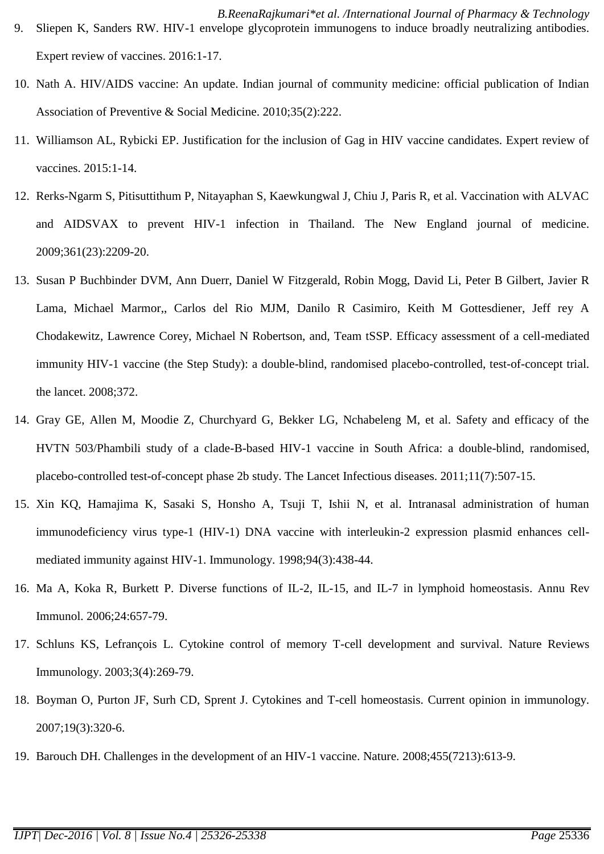- *B.ReenaRajkumari\*et al. /International Journal of Pharmacy & Technology* 9. Sliepen K, Sanders RW. HIV-1 envelope glycoprotein immunogens to induce broadly neutralizing antibodies. Expert review of vaccines. 2016:1-17.
- 10. Nath A. HIV/AIDS vaccine: An update. Indian journal of community medicine: official publication of Indian Association of Preventive & Social Medicine. 2010;35(2):222.
- 11. Williamson AL, Rybicki EP. Justification for the inclusion of Gag in HIV vaccine candidates. Expert review of vaccines. 2015:1-14.
- 12. Rerks-Ngarm S, Pitisuttithum P, Nitayaphan S, Kaewkungwal J, Chiu J, Paris R, et al. Vaccination with ALVAC and AIDSVAX to prevent HIV-1 infection in Thailand. The New England journal of medicine. 2009;361(23):2209-20.
- 13. Susan P Buchbinder DVM, Ann Duerr, Daniel W Fitzgerald, Robin Mogg, David Li, Peter B Gilbert, Javier R Lama, Michael Marmor,, Carlos del Rio MJM, Danilo R Casimiro, Keith M Gottesdiener, Jeff rey A Chodakewitz, Lawrence Corey, Michael N Robertson, and, Team tSSP. Efficacy assessment of a cell-mediated immunity HIV-1 vaccine (the Step Study): a double-blind, randomised placebo-controlled, test-of-concept trial. the lancet. 2008;372.
- 14. Gray GE, Allen M, Moodie Z, Churchyard G, Bekker LG, Nchabeleng M, et al. Safety and efficacy of the HVTN 503/Phambili study of a clade-B-based HIV-1 vaccine in South Africa: a double-blind, randomised, placebo-controlled test-of-concept phase 2b study. The Lancet Infectious diseases. 2011;11(7):507-15.
- 15. Xin KQ, Hamajima K, Sasaki S, Honsho A, Tsuji T, Ishii N, et al. Intranasal administration of human immunodeficiency virus type-1 (HIV-1) DNA vaccine with interleukin-2 expression plasmid enhances cellmediated immunity against HIV-1. Immunology. 1998;94(3):438-44.
- 16. Ma A, Koka R, Burkett P. Diverse functions of IL-2, IL-15, and IL-7 in lymphoid homeostasis. Annu Rev Immunol. 2006;24:657-79.
- 17. Schluns KS, Lefrançois L. Cytokine control of memory T-cell development and survival. Nature Reviews Immunology. 2003;3(4):269-79.
- 18. Boyman O, Purton JF, Surh CD, Sprent J. Cytokines and T-cell homeostasis. Current opinion in immunology. 2007;19(3):320-6.
- 19. Barouch DH. Challenges in the development of an HIV-1 vaccine. Nature. 2008;455(7213):613-9.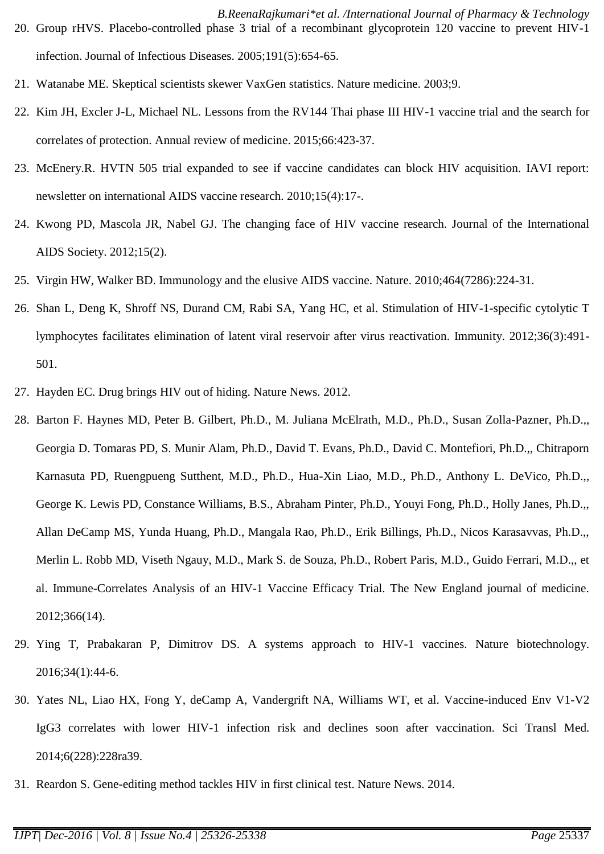- *B.ReenaRajkumari\*et al. /International Journal of Pharmacy & Technology* 20. Group rHVS. Placebo-controlled phase 3 trial of a recombinant glycoprotein 120 vaccine to prevent HIV-1 infection. Journal of Infectious Diseases. 2005;191(5):654-65.
- 21. Watanabe ME. Skeptical scientists skewer VaxGen statistics. Nature medicine. 2003;9.
- 22. Kim JH, Excler J-L, Michael NL. Lessons from the RV144 Thai phase III HIV-1 vaccine trial and the search for correlates of protection. Annual review of medicine. 2015;66:423-37.
- 23. McEnery.R. HVTN 505 trial expanded to see if vaccine candidates can block HIV acquisition. IAVI report: newsletter on international AIDS vaccine research. 2010;15(4):17-.
- 24. Kwong PD, Mascola JR, Nabel GJ. The changing face of HIV vaccine research. Journal of the International AIDS Society. 2012;15(2).
- 25. Virgin HW, Walker BD. Immunology and the elusive AIDS vaccine. Nature. 2010;464(7286):224-31.
- 26. Shan L, Deng K, Shroff NS, Durand CM, Rabi SA, Yang HC, et al. Stimulation of HIV-1-specific cytolytic T lymphocytes facilitates elimination of latent viral reservoir after virus reactivation. Immunity. 2012;36(3):491- 501.
- 27. Hayden EC. Drug brings HIV out of hiding. Nature News. 2012.
- 28. Barton F. Haynes MD, Peter B. Gilbert, Ph.D., M. Juliana McElrath, M.D., Ph.D., Susan Zolla-Pazner, Ph.D.,, Georgia D. Tomaras PD, S. Munir Alam, Ph.D., David T. Evans, Ph.D., David C. Montefiori, Ph.D.,, Chitraporn Karnasuta PD, Ruengpueng Sutthent, M.D., Ph.D., Hua-Xin Liao, M.D., Ph.D., Anthony L. DeVico, Ph.D.,, George K. Lewis PD, Constance Williams, B.S., Abraham Pinter, Ph.D., Youyi Fong, Ph.D., Holly Janes, Ph.D.,, Allan DeCamp MS, Yunda Huang, Ph.D., Mangala Rao, Ph.D., Erik Billings, Ph.D., Nicos Karasavvas, Ph.D.,, Merlin L. Robb MD, Viseth Ngauy, M.D., Mark S. de Souza, Ph.D., Robert Paris, M.D., Guido Ferrari, M.D.,, et al. Immune-Correlates Analysis of an HIV-1 Vaccine Efficacy Trial. The New England journal of medicine. 2012;366(14).
- 29. Ying T, Prabakaran P, Dimitrov DS. A systems approach to HIV-1 vaccines. Nature biotechnology. 2016;34(1):44-6.
- 30. Yates NL, Liao HX, Fong Y, deCamp A, Vandergrift NA, Williams WT, et al. Vaccine-induced Env V1-V2 IgG3 correlates with lower HIV-1 infection risk and declines soon after vaccination. Sci Transl Med. 2014;6(228):228ra39.
- 31. Reardon S. Gene-editing method tackles HIV in first clinical test. Nature News. 2014.